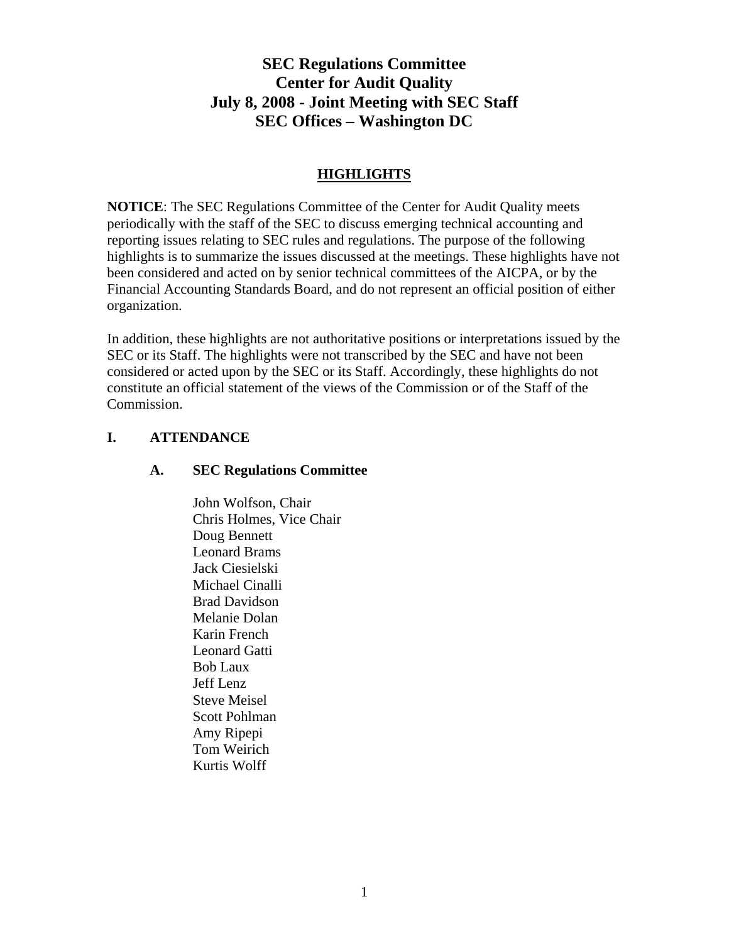# **SEC Regulations Committee Center for Audit Quality July 8, 2008 - Joint Meeting with SEC Staff SEC Offices – Washington DC**

## **HIGHLIGHTS**

**NOTICE**: The SEC Regulations Committee of the Center for Audit Quality meets periodically with the staff of the SEC to discuss emerging technical accounting and reporting issues relating to SEC rules and regulations. The purpose of the following highlights is to summarize the issues discussed at the meetings. These highlights have not been considered and acted on by senior technical committees of the AICPA, or by the Financial Accounting Standards Board, and do not represent an official position of either organization.

In addition, these highlights are not authoritative positions or interpretations issued by the SEC or its Staff. The highlights were not transcribed by the SEC and have not been considered or acted upon by the SEC or its Staff. Accordingly, these highlights do not constitute an official statement of the views of the Commission or of the Staff of the Commission.

## **I. ATTENDANCE**

### **A. SEC Regulations Committee**

John Wolfson, Chair Chris Holmes, Vice Chair Doug Bennett Leonard Brams Jack Ciesielski Michael Cinalli Brad Davidson Melanie Dolan Karin French Leonard Gatti Bob Laux Jeff Lenz Steve Meisel Scott Pohlman Amy Ripepi Tom Weirich Kurtis Wolff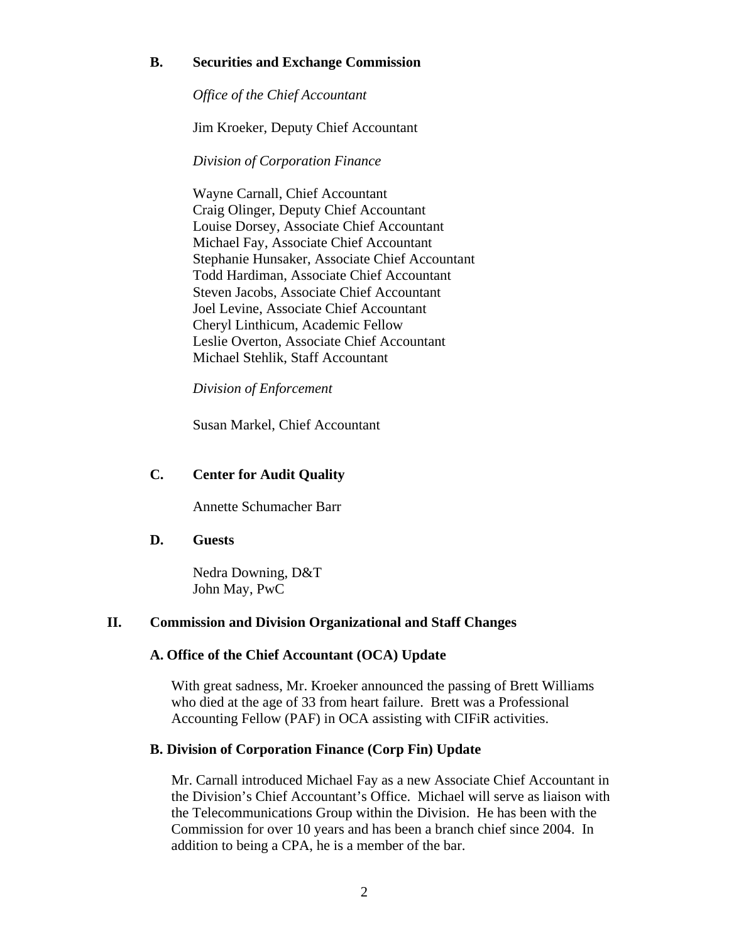## **B. Securities and Exchange Commission**

*Office of the Chief Accountant* 

Jim Kroeker, Deputy Chief Accountant

*Division of Corporation Finance* 

 Wayne Carnall, Chief Accountant Craig Olinger, Deputy Chief Accountant Louise Dorsey, Associate Chief Accountant Michael Fay, Associate Chief Accountant Stephanie Hunsaker, Associate Chief Accountant Todd Hardiman, Associate Chief Accountant Steven Jacobs, Associate Chief Accountant Joel Levine, Associate Chief Accountant Cheryl Linthicum, Academic Fellow Leslie Overton, Associate Chief Accountant Michael Stehlik, Staff Accountant

 *Division of Enforcement* 

Susan Markel, Chief Accountant

## **C. Center for Audit Quality**

Annette Schumacher Barr

## **D. Guests**

 Nedra Downing, D&T John May, PwC

## **II. Commission and Division Organizational and Staff Changes**

## **A. Office of the Chief Accountant (OCA) Update**

With great sadness, Mr. Kroeker announced the passing of Brett Williams who died at the age of 33 from heart failure. Brett was a Professional Accounting Fellow (PAF) in OCA assisting with CIFiR activities.

### **B. Division of Corporation Finance (Corp Fin) Update**

Mr. Carnall introduced Michael Fay as a new Associate Chief Accountant in the Division's Chief Accountant's Office. Michael will serve as liaison with the Telecommunications Group within the Division. He has been with the Commission for over 10 years and has been a branch chief since 2004. In addition to being a CPA, he is a member of the bar.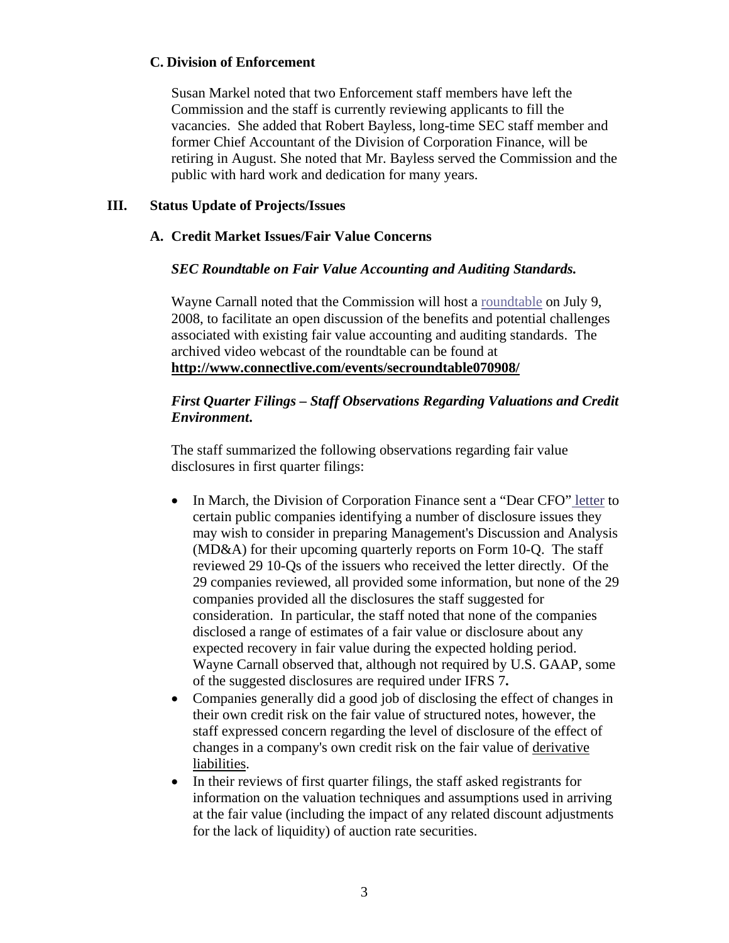### **C. Division of Enforcement**

Susan Markel noted that two Enforcement staff members have left the Commission and the staff is currently reviewing applicants to fill the vacancies. She added that Robert Bayless, long-time SEC staff member and former Chief Accountant of the Division of Corporation Finance, will be retiring in August. She noted that Mr. Bayless served the Commission and the public with hard work and dedication for many years.

## **III. Status Update of Projects/Issues**

## **A. Credit Market Issues/Fair Value Concerns**

## *SEC Roundtable on Fair Value Accounting and Auditing Standards.*

Wayne Carnall noted that the Commission will host a [roundtable](http://sec.gov/spotlight/fairvalue.htm) on July 9, 2008, to facilitate an open discussion of the benefits and potential challenges associated with existing fair value accounting and auditing standards. The archived video webcast of the roundtable can be found at **<http://www.connectlive.com/events/secroundtable070908/>**

## *First Quarter Filings – Staff Observations Regarding Valuations and Credit Environment***.**

The staff summarized the following observations regarding fair value disclosures in first quarter filings:

- In March, the Division of Corporation Finance sent a "Dear CFO[" letter](http://www.sec.gov/divisions/corpfin/guidance/fairvalueltr0308.htm) to certain public companies identifying a number of disclosure issues they may wish to consider in preparing Management's Discussion and Analysis (MD&A) for their upcoming quarterly reports on Form 10-Q. The staff reviewed 29 10-Qs of the issuers who received the letter directly. Of the 29 companies reviewed, all provided some information, but none of the 29 companies provided all the disclosures the staff suggested for consideration. In particular, the staff noted that none of the companies disclosed a range of estimates of a fair value or disclosure about any expected recovery in fair value during the expected holding period. Wayne Carnall observed that, although not required by U.S. GAAP, some of the suggested disclosures are required under IFRS 7**.**
- Companies generally did a good job of disclosing the effect of changes in their own credit risk on the fair value of structured notes, however, the staff expressed concern regarding the level of disclosure of the effect of changes in a company's own credit risk on the fair value of derivative liabilities.
- In their reviews of first quarter filings, the staff asked registrants for information on the valuation techniques and assumptions used in arriving at the fair value (including the impact of any related discount adjustments for the lack of liquidity) of auction rate securities.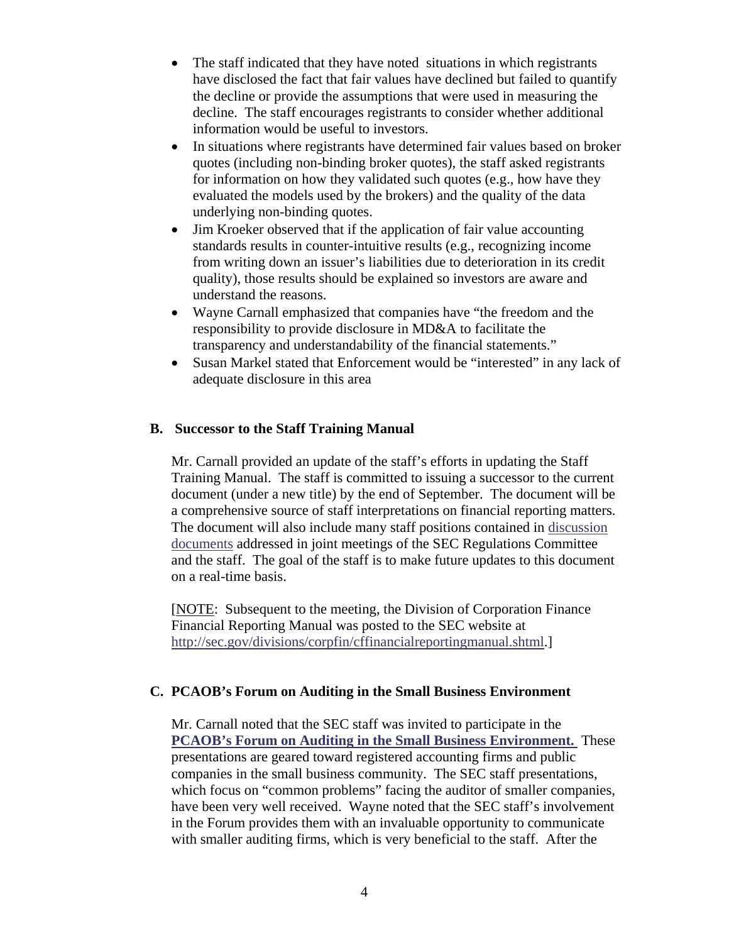- The staff indicated that they have noted situations in which registrants have disclosed the fact that fair values have declined but failed to quantify the decline or provide the assumptions that were used in measuring the decline. The staff encourages registrants to consider whether additional information would be useful to investors.
- In situations where registrants have determined fair values based on broker quotes (including non-binding broker quotes), the staff asked registrants for information on how they validated such quotes (e.g., how have they evaluated the models used by the brokers) and the quality of the data underlying non-binding quotes.
- Jim Kroeker observed that if the application of fair value accounting standards results in counter-intuitive results (e.g., recognizing income from writing down an issuer's liabilities due to deterioration in its credit quality), those results should be explained so investors are aware and understand the reasons.
- Wayne Carnall emphasized that companies have "the freedom and the responsibility to provide disclosure in MD&A to facilitate the transparency and understandability of the financial statements."
- Susan Markel stated that Enforcement would be "interested" in any lack of adequate disclosure in this area

## **B. Successor to the Staff Training Manual**

Mr. Carnall provided an update of the staff's efforts in updating the Staff Training Manual. The staff is committed to issuing a successor to the current document (under a new title) by the end of September. The document will be a comprehensive source of staff interpretations on financial reporting matters. The document will also include many staff positions contained in [discussion](http://thecaq.org/resources/secregs/final_discuss_docs.html)  [documents](http://thecaq.org/resources/secregs/final_discuss_docs.html) addressed in joint meetings of the SEC Regulations Committee and the staff. The goal of the staff is to make future updates to this document on a real-time basis.

[NOTE: Subsequent to the meeting, the Division of Corporation Finance Financial Reporting Manual was posted to the SEC website at <http://sec.gov/divisions/corpfin/cffinancialreportingmanual.shtml>.]

### **C. PCAOB's Forum on Auditing in the Small Business Environment**

Mr. Carnall noted that the SEC staff was invited to participate in the **[PCAOB's Forum on Auditing in the Small Business Environment.](http://pcaobus.org/About_the_PCAOB/Small_Business/Forum/index.aspx)** These presentations are geared toward registered accounting firms and public companies in the small business community. The SEC staff presentations, which focus on "common problems" facing the auditor of smaller companies, have been very well received. Wayne noted that the SEC staff's involvement in the Forum provides them with an invaluable opportunity to communicate with smaller auditing firms, which is very beneficial to the staff. After the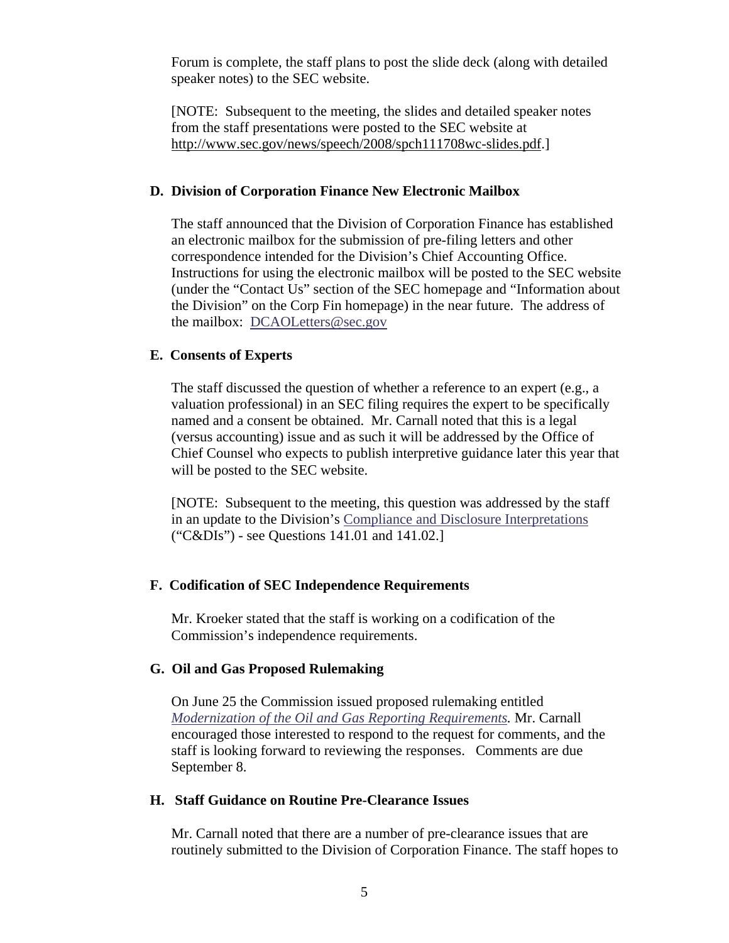Forum is complete, the staff plans to post the slide deck (along with detailed speaker notes) to the SEC website.

[NOTE: Subsequent to the meeting, the slides and detailed speaker notes from the staff presentations were posted to the SEC website at [http://www.sec.gov/news/speech/2008/spch111708wc-slides.pdf.](http://www.sec.gov/news/speech/2008/spch111708wc-slides.pdf)]

#### **D. Division of Corporation Finance New Electronic Mailbox**

The staff announced that the Division of Corporation Finance has established an electronic mailbox for the submission of pre-filing letters and other correspondence intended for the Division's Chief Accounting Office. Instructions for using the electronic mailbox will be posted to the SEC website (under the "Contact Us" section of the SEC homepage and "Information about the Division" on the Corp Fin homepage) in the near future. The address of the mailbox: [DCAOLetters@sec.gov](mailto:DCAOLetters@sec.gov)

#### **E. Consents of Experts**

The staff discussed the question of whether a reference to an expert (e.g., a valuation professional) in an SEC filing requires the expert to be specifically named and a consent be obtained. Mr. Carnall noted that this is a legal (versus accounting) issue and as such it will be addressed by the Office of Chief Counsel who expects to publish interpretive guidance later this year that will be posted to the SEC website.

[NOTE: Subsequent to the meeting, this question was addressed by the staff in an update to the Division's [Compliance and Disclosure Interpretations](http://www.sec.gov/divisions/corpfin/guidance/sasinterp.htm) ("C&DIs") - see Questions 141.01 and 141.02.]

### **F. Codification of SEC Independence Requirements**

Mr. Kroeker stated that the staff is working on a codification of the Commission's independence requirements.

#### **G. Oil and Gas Proposed Rulemaking**

On June 25 the Commission issued proposed rulemaking entitled *[Modernization of the Oil and Gas Reporting Requirements](http://sec.gov/rules/proposed/2008/33-8935.pdf).* Mr. Carnall encouraged those interested to respond to the request for comments, and the staff is looking forward to reviewing the responses. Comments are due September 8.

#### **H. Staff Guidance on Routine Pre-Clearance Issues**

Mr. Carnall noted that there are a number of pre-clearance issues that are routinely submitted to the Division of Corporation Finance. The staff hopes to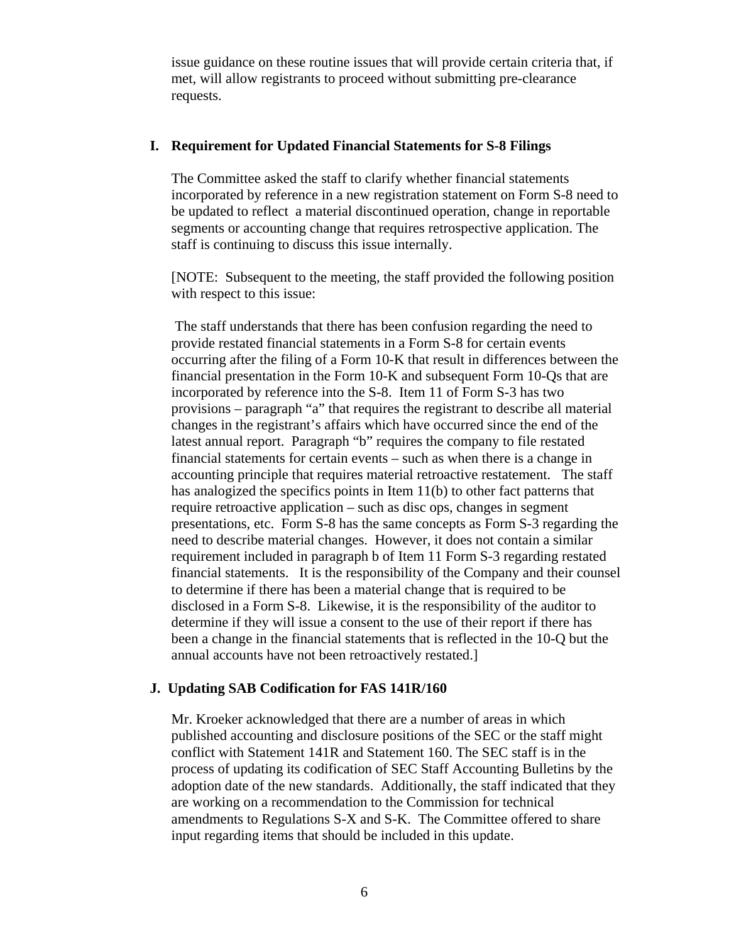issue guidance on these routine issues that will provide certain criteria that, if met, will allow registrants to proceed without submitting pre-clearance requests.

#### **I. Requirement for Updated Financial Statements for S-8 Filings**

The Committee asked the staff to clarify whether financial statements incorporated by reference in a new registration statement on Form S-8 need to be updated to reflect a material discontinued operation, change in reportable segments or accounting change that requires retrospective application. The staff is continuing to discuss this issue internally.

[NOTE: Subsequent to the meeting, the staff provided the following position with respect to this issue:

 The staff understands that there has been confusion regarding the need to provide restated financial statements in a Form S-8 for certain events occurring after the filing of a Form 10-K that result in differences between the financial presentation in the Form 10-K and subsequent Form 10-Qs that are incorporated by reference into the S-8. Item 11 of Form S-3 has two provisions – paragraph "a" that requires the registrant to describe all material changes in the registrant's affairs which have occurred since the end of the latest annual report. Paragraph "b" requires the company to file restated financial statements for certain events – such as when there is a change in accounting principle that requires material retroactive restatement. The staff has analogized the specifics points in Item 11(b) to other fact patterns that require retroactive application – such as disc ops, changes in segment presentations, etc. Form S-8 has the same concepts as Form S-3 regarding the need to describe material changes. However, it does not contain a similar requirement included in paragraph b of Item 11 Form S-3 regarding restated financial statements. It is the responsibility of the Company and their counsel to determine if there has been a material change that is required to be disclosed in a Form S-8. Likewise, it is the responsibility of the auditor to determine if they will issue a consent to the use of their report if there has been a change in the financial statements that is reflected in the 10-Q but the annual accounts have not been retroactively restated.]

### **J. Updating SAB Codification for FAS 141R/160**

Mr. Kroeker acknowledged that there are a number of areas in which published accounting and disclosure positions of the SEC or the staff might conflict with Statement 141R and Statement 160. The SEC staff is in the process of updating its codification of SEC Staff Accounting Bulletins by the adoption date of the new standards. Additionally, the staff indicated that they are working on a recommendation to the Commission for technical amendments to Regulations S-X and S-K. The Committee offered to share input regarding items that should be included in this update.